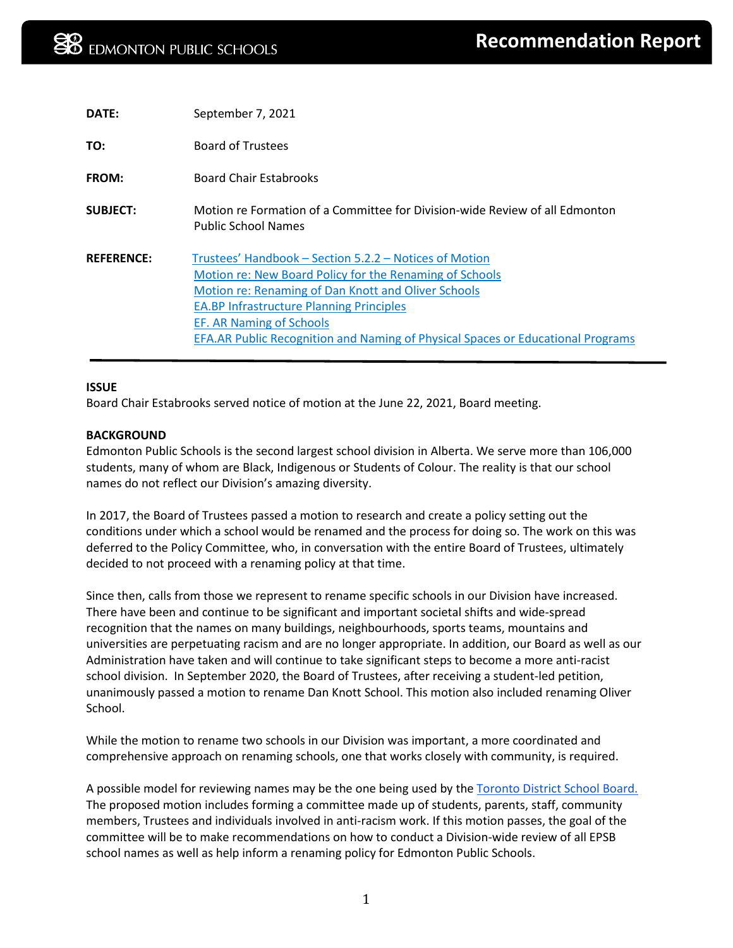| DATE:             | September 7, 2021                                                                                                                                                                                                                                                                                                                          |
|-------------------|--------------------------------------------------------------------------------------------------------------------------------------------------------------------------------------------------------------------------------------------------------------------------------------------------------------------------------------------|
| TO:               | <b>Board of Trustees</b>                                                                                                                                                                                                                                                                                                                   |
| FROM:             | <b>Board Chair Estabrooks</b>                                                                                                                                                                                                                                                                                                              |
| <b>SUBJECT:</b>   | Motion re Formation of a Committee for Division-wide Review of all Edmonton<br><b>Public School Names</b>                                                                                                                                                                                                                                  |
| <b>REFERENCE:</b> | Trustees' Handbook - Section 5.2.2 - Notices of Motion<br>Motion re: New Board Policy for the Renaming of Schools<br>Motion re: Renaming of Dan Knott and Oliver Schools<br><b>EA.BP Infrastructure Planning Principles</b><br>EF. AR Naming of Schools<br>EFA.AR Public Recognition and Naming of Physical Spaces or Educational Programs |

# **ISSUE**

Board Chair Estabrooks served notice of motion at the June 22, 2021, Board meeting.

## **BACKGROUND**

Edmonton Public Schools is the second largest school division in Alberta. We serve more than 106,000 students, many of whom are Black, Indigenous or Students of Colour. The reality is that our school names do not reflect our Division's amazing diversity.

In 2017, the Board of Trustees passed a motion to research and create a policy setting out the conditions under which a school would be renamed and the process for doing so. The work on this was deferred to the Policy Committee, who, in conversation with the entire Board of Trustees, ultimately decided to not proceed with a renaming policy at that time.

Since then, calls from those we represent to rename specific schools in our Division have increased. There have been and continue to be significant and important societal shifts and wide-spread recognition that the names on many buildings, neighbourhoods, sports teams, mountains and universities are perpetuating racism and are no longer appropriate. In addition, our Board as well as our Administration have taken and will continue to take significant steps to become a more anti-racist school division. In September 2020, the Board of Trustees, after receiving a student-led petition, unanimously passed a motion to rename Dan Knott School. This motion also included renaming Oliver School.

While the motion to rename two schools in our Division was important, a more coordinated and comprehensive approach on renaming schools, one that works closely with community, is required.

A possible model for reviewing names may be the one being used by the [Toronto District School Board.](https://www.tdsb.on.ca/Media/News/ArtMID/2750/ArticleID/1630/TDSB-to-Review-School-Names-to-Reflect-Toronto%E2%80%99s-Diversity) The proposed motion includes forming a committee made up of students, parents, staff, community members, Trustees and individuals involved in anti-racism work. If this motion passes, the goal of the committee will be to make recommendations on how to conduct a Division-wide review of all EPSB school names as well as help inform a renaming policy for Edmonton Public Schools.